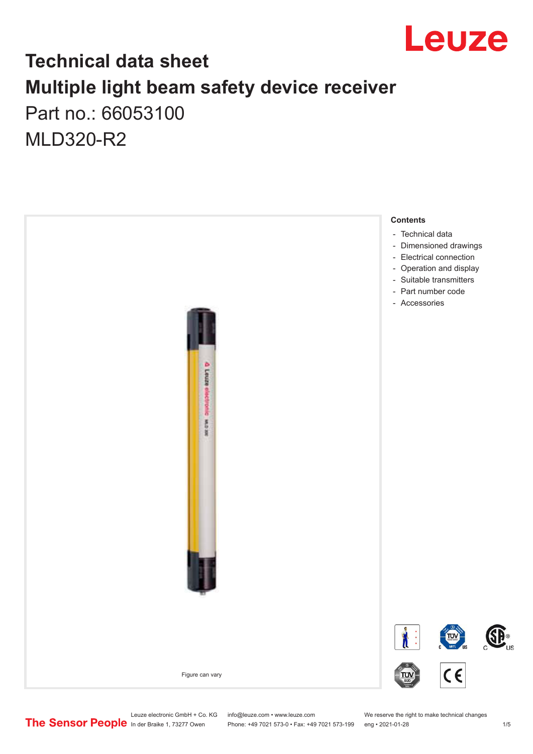

## **Technical data sheet Multiple light beam safety device receiver** Part no.: 66053100

MLD320-R2



Leuze electronic GmbH + Co. KG info@leuze.com • www.leuze.com We reserve the right to make technical changes<br>
The Sensor People in der Braike 1, 73277 Owen Phone: +49 7021 573-0 • Fax: +49 7021 573-199 eng • 2021-01-28

Phone: +49 7021 573-0 • Fax: +49 7021 573-199 eng • 2021-01-28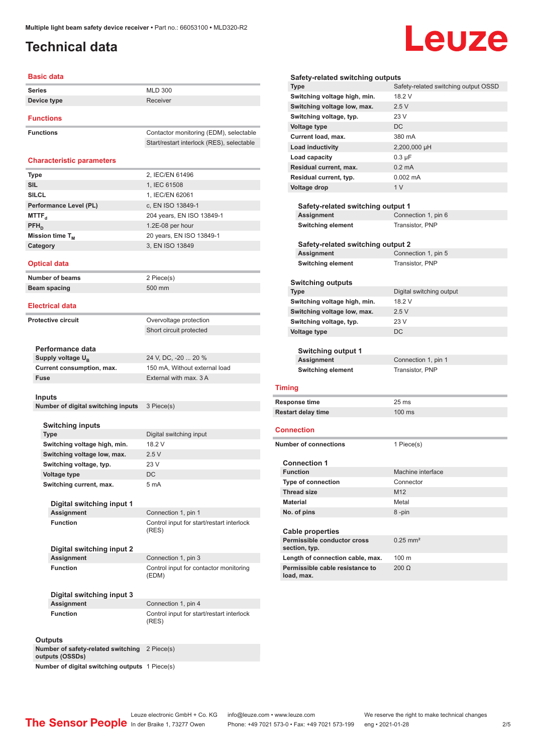## <span id="page-1-0"></span>**Technical data**

# Leuze

| <b>Basic data</b>                           |                                                         |
|---------------------------------------------|---------------------------------------------------------|
| <b>Series</b>                               | <b>MLD 300</b>                                          |
| Device type                                 | Receiver                                                |
|                                             |                                                         |
| <b>Functions</b>                            |                                                         |
| <b>Functions</b>                            | Contactor monitoring (EDM), selectable                  |
|                                             | Start/restart interlock (RES), selectable               |
|                                             |                                                         |
| <b>Characteristic parameters</b>            |                                                         |
| <b>Type</b>                                 | 2, IEC/EN 61496                                         |
| <b>SIL</b>                                  | 1, IEC 61508                                            |
| <b>SILCL</b>                                | 1. IEC/EN 62061                                         |
| Performance Level (PL)                      | c, EN ISO 13849-1                                       |
| <b>MTTF</b> <sub>d</sub><br>$PFH_{D}$       | 204 years, EN ISO 13849-1<br>1.2E-08 per hour           |
| Mission time T <sub>M</sub>                 | 20 years, EN ISO 13849-1                                |
| Category                                    | 3, EN ISO 13849                                         |
|                                             |                                                         |
| <b>Optical data</b>                         |                                                         |
| <b>Number of beams</b>                      | 2 Piece(s)                                              |
| Beam spacing                                | 500 mm                                                  |
|                                             |                                                         |
| <b>Electrical data</b>                      |                                                         |
| <b>Protective circuit</b>                   | Overvoltage protection                                  |
|                                             | Short circuit protected                                 |
|                                             |                                                         |
| Performance data                            |                                                         |
| Supply voltage U <sub>R</sub>               | 24 V, DC, -20  20 %                                     |
| Current consumption, max.<br>Fuse           | 150 mA, Without external load<br>External with max. 3 A |
|                                             |                                                         |
| Inputs                                      |                                                         |
| Number of digital switching inputs          | 3 Piece(s)                                              |
|                                             |                                                         |
| Switching inputs                            |                                                         |
| <b>Type</b><br>Switching voltage high, min. | Digital switching input<br>18.2 V                       |
| Switching voltage low, max.                 | 2.5V                                                    |
| Switching voltage, typ.                     | 23 V                                                    |
| Voltage type                                | DC                                                      |
| Switching current, max.                     | 5 mA                                                    |
|                                             |                                                         |
| Digital switching input 1                   |                                                         |
| <b>Assignment</b>                           | Connection 1, pin 1                                     |
| <b>Function</b>                             | Control input for start/restart interlock<br>(RES)      |
|                                             |                                                         |
| Digital switching input 2                   |                                                         |
| <b>Assignment</b>                           | Connection 1, pin 3                                     |
| <b>Function</b>                             | Control input for contactor monitoring                  |
|                                             | (EDM)                                                   |
| Digital switching input 3                   |                                                         |
| <b>Assignment</b>                           | Connection 1, pin 4                                     |
| <b>Function</b>                             | Control input for start/restart interlock               |
|                                             | (RES)                                                   |
|                                             |                                                         |
| <b>Outputs</b>                              |                                                         |

| Safety-related switching outputs                                    |                                      |
|---------------------------------------------------------------------|--------------------------------------|
| <b>Type</b>                                                         | Safety-related switching output OSSD |
| Switching voltage high, min.                                        | 18.2 V                               |
| Switching voltage low, max.                                         | 2.5V                                 |
| Switching voltage, typ.                                             | 23 V                                 |
| <b>Voltage type</b>                                                 | DC                                   |
| Current load, max.                                                  | 380 mA                               |
| Load inductivity                                                    | 2,200,000 µH                         |
| Load capacity                                                       | $0.3 \mu F$                          |
| Residual current, max.                                              | $0.2 \text{ mA}$                     |
| Residual current, typ.                                              | $0.002 \, \text{mA}$                 |
| Voltage drop                                                        | 1 <sub>V</sub>                       |
|                                                                     |                                      |
| Safety-related switching output 1                                   |                                      |
| Assignment                                                          | Connection 1, pin 6                  |
| <b>Switching element</b>                                            | Transistor, PNP                      |
|                                                                     |                                      |
| Safety-related switching output 2<br><b>Assignment</b>              | Connection 1, pin 5                  |
| <b>Switching element</b>                                            | Transistor, PNP                      |
|                                                                     |                                      |
| <b>Switching outputs</b>                                            |                                      |
| <b>Type</b>                                                         | Digital switching output             |
| Switching voltage high, min.                                        | 18.2 V                               |
| Switching voltage low, max.                                         | 2.5V                                 |
| Switching voltage, typ.                                             | 23 V                                 |
| <b>Voltage type</b>                                                 | DC                                   |
|                                                                     |                                      |
| <b>Switching output 1</b>                                           |                                      |
| Assignment                                                          | Connection 1, pin 1                  |
| <b>Switching element</b>                                            | Transistor, PNP                      |
| <b>Timing</b>                                                       |                                      |
|                                                                     |                                      |
| Response time                                                       | 25 <sub>ms</sub>                     |
| <b>Restart delay time</b>                                           | $100 \text{ ms}$                     |
| Connection                                                          |                                      |
| <b>Number of connections</b>                                        |                                      |
|                                                                     | 1 Piece(s)                           |
| <b>Connection 1</b>                                                 |                                      |
| <b>Function</b>                                                     | Machine interface                    |
| Type of connection                                                  | Connector                            |
| <b>Thread size</b>                                                  | M <sub>12</sub>                      |
| <b>Material</b>                                                     | Metal                                |
| No. of pins                                                         | 8-pin                                |
|                                                                     |                                      |
| <b>Cable properties</b>                                             |                                      |
| Permissible conductor cross                                         | $0.25$ mm <sup>2</sup>               |
| section, typ.                                                       |                                      |
| Length of connection cable, max.<br>Permissible cable resistance to | 100 m                                |
| load, max.                                                          | $200 \Omega$                         |
|                                                                     |                                      |

**Number of safety-related switching**  2 Piece(s) **outputs (OSSDs)**

**Number of digital switching outputs** 1 Piece(s)

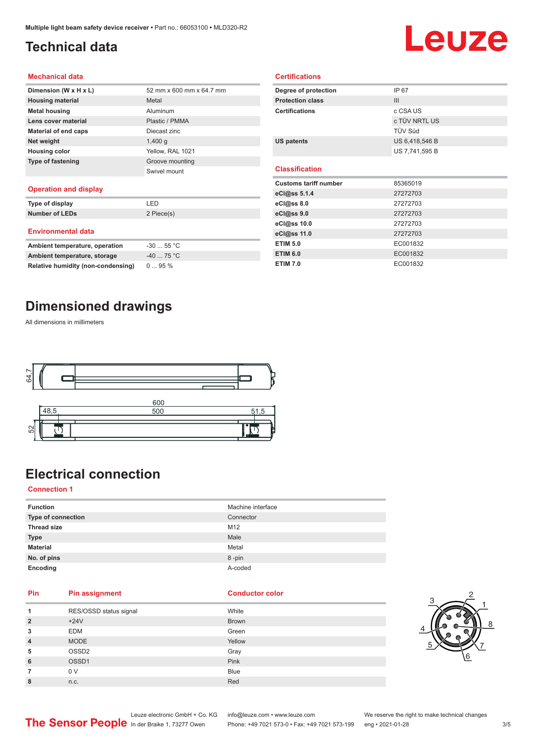## <span id="page-2-0"></span>**Technical data**

## Leuze

#### **Mechanical data**

| Dimension (W x H x L)    | 52 mm x 600 mm x 64.7 mm |
|--------------------------|--------------------------|
| <b>Housing material</b>  | Metal                    |
| <b>Metal housing</b>     | Aluminum                 |
| Lens cover material      | Plastic / PMMA           |
| Material of end caps     | Diecast zinc             |
| Net weight               | $1,400$ q                |
| <b>Housing color</b>     | Yellow, RAL 1021         |
| <b>Type of fastening</b> | Groove mounting          |
|                          | Swivel mount             |
|                          |                          |

#### **Operation and display**

| Type of display                | I FD       |  |
|--------------------------------|------------|--|
| <b>Number of LEDs</b>          | 2 Piece(s) |  |
| <b>Environmental data</b>      |            |  |
| Ambient temperature, operation | $-3055$ °C |  |
| Ambient temperature, storage   | $-4075 °C$ |  |

| Degree of protection         | IP 67          |  |
|------------------------------|----------------|--|
| <b>Protection class</b>      | III            |  |
| <b>Certifications</b>        | c CSA US       |  |
|                              | c TÜV NRTL US  |  |
|                              | TÜV Süd        |  |
| <b>US patents</b>            | US 6,418,546 B |  |
|                              | US 7,741,595 B |  |
|                              |                |  |
|                              |                |  |
| <b>Classification</b>        |                |  |
| <b>Customs tariff number</b> | 85365019       |  |
| eCl@ss 5.1.4                 | 27272703       |  |
| eCl@ss 8.0                   | 27272703       |  |
| eCl@ss 9.0                   | 27272703       |  |
| eCl@ss 10.0                  | 27272703       |  |
| eCl@ss 11.0                  | 27272703       |  |
| <b>ETIM 5.0</b>              | EC001832       |  |

**ETIM 7.0** EC001832

**Certifications**

## **Dimensioned drawings**

**Relative humidity (non-condensing)** 0 ... 95 %

All dimensions in millimeters



## **Electrical connection**

#### **Connection 1**

| <b>Function</b>    | Machine interface |
|--------------------|-------------------|
| Type of connection | Connector         |
| <b>Thread size</b> | M12               |
| <b>Type</b>        | Male              |
| <b>Material</b>    | Metal             |
| No. of pins        | 8-pin             |
| Encoding           | A-coded           |

### **Pin Pin assignment Conductor Conductor Color**

| 1              | RES/OSSD status signal | White        |
|----------------|------------------------|--------------|
| $\overline{2}$ | $+24V$                 | <b>Brown</b> |
| 3              | <b>EDM</b>             | Green        |
| $\overline{4}$ | <b>MODE</b>            | Yellow       |
| 5              | OSSD <sub>2</sub>      | Gray         |
| 6              | OSSD1                  | Pink         |
| 7              | 0 V                    | <b>Blue</b>  |
| 8              | n.c.                   | Red          |



Leuze electronic GmbH + Co. KG info@leuze.com • www.leuze.com We reserve the right to make technical changes<br>
The Sensor People in der Braike 1, 73277 Owen Phone: +49 7021 573-0 • Fax: +49 7021 573-199 eng • 2021-01-28 Phone: +49 7021 573-0 • Fax: +49 7021 573-199 eng • 2021-01-28 3/5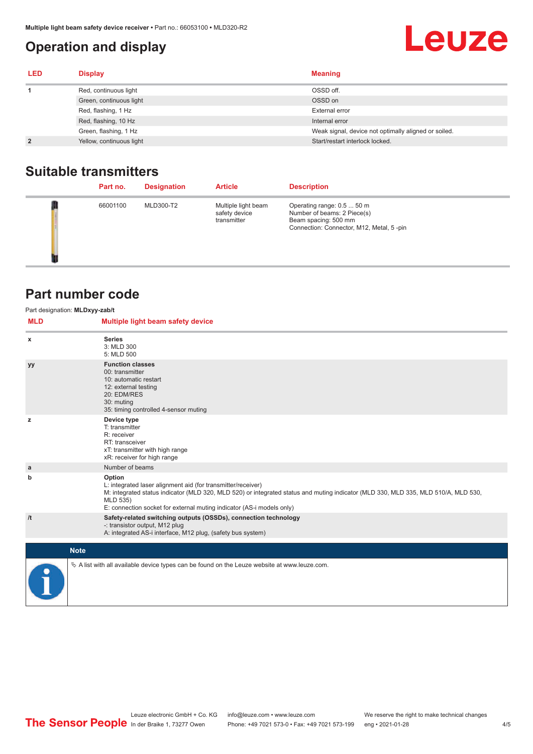## <span id="page-3-0"></span>**Operation and display**

## **Leuze**

| <b>LED</b>     | <b>Display</b>           | <b>Meaning</b>                                       |
|----------------|--------------------------|------------------------------------------------------|
|                | Red, continuous light    | OSSD off.                                            |
|                | Green, continuous light  | OSSD on                                              |
|                | Red, flashing, 1 Hz      | External error                                       |
|                | Red, flashing, 10 Hz     | Internal error                                       |
|                | Green, flashing, 1 Hz    | Weak signal, device not optimally aligned or soiled. |
| $\overline{2}$ | Yellow, continuous light | Start/restart interlock locked.                      |

## **Suitable transmitters**

| Part no. | <b>Designation</b> | <b>Article</b>                                      | <b>Description</b>                                                                                                            |
|----------|--------------------|-----------------------------------------------------|-------------------------------------------------------------------------------------------------------------------------------|
| 66001100 | MLD300-T2          | Multiple light beam<br>safety device<br>transmitter | Operating range: 0.5  50 m<br>Number of beams: 2 Piece(s)<br>Beam spacing: 500 mm<br>Connection: Connector, M12, Metal, 5-pin |

## **Part number code**

| Part designation: MLDxyy-zab/t<br><b>MLD</b> | Multiple light beam safety device                                                                                                                                                                                                                                                                 |
|----------------------------------------------|---------------------------------------------------------------------------------------------------------------------------------------------------------------------------------------------------------------------------------------------------------------------------------------------------|
| x                                            | <b>Series</b><br>3: MLD 300<br>5: MLD 500                                                                                                                                                                                                                                                         |
| уу                                           | <b>Function classes</b><br>00: transmitter<br>10: automatic restart<br>12: external testing<br>20: EDM/RES<br>30: muting<br>35: timing controlled 4-sensor muting                                                                                                                                 |
| z                                            | Device type<br>T: transmitter<br>R: receiver<br>RT: transceiver<br>xT: transmitter with high range<br>xR: receiver for high range                                                                                                                                                                 |
| a                                            | Number of beams                                                                                                                                                                                                                                                                                   |
| b                                            | Option<br>L: integrated laser alignment aid (for transmitter/receiver)<br>M: integrated status indicator (MLD 320, MLD 520) or integrated status and muting indicator (MLD 330, MLD 335, MLD 510/A, MLD 530,<br>MLD 535)<br>E: connection socket for external muting indicator (AS-i models only) |
| /t                                           | Safety-related switching outputs (OSSDs), connection technology<br>-: transistor output, M12 plug<br>A: integrated AS-i interface, M12 plug, (safety bus system)                                                                                                                                  |
|                                              | <b>Note</b>                                                                                                                                                                                                                                                                                       |
|                                              | $\&$ A list with all available device types can be found on the Leuze website at www.leuze.com.                                                                                                                                                                                                   |